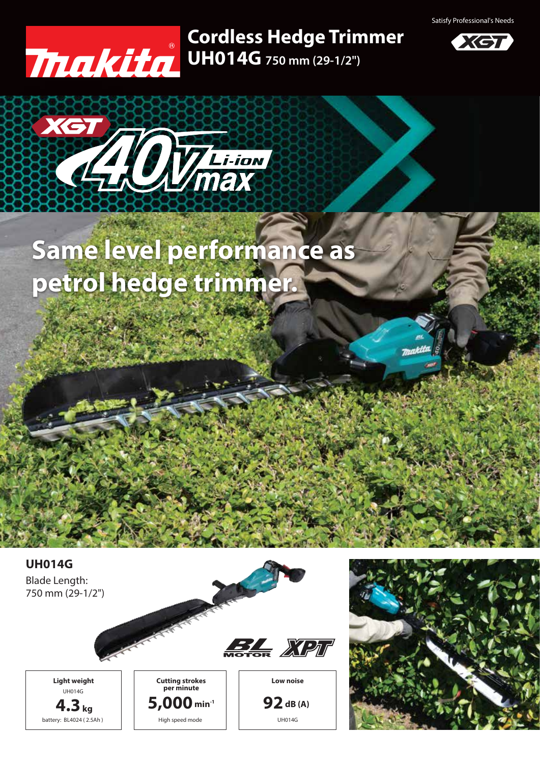Satisfy Professional's Needs



## **UH014G 750 mm (29-1/2") Cordless Hedge Trimmer**





## **Same level performance as petrol hedge trimmer.**